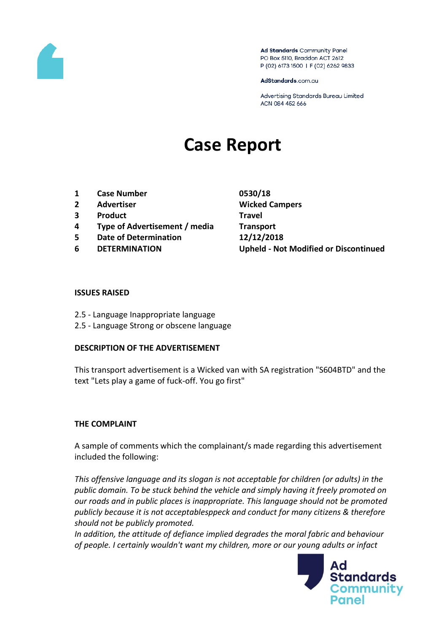

Ad Standards Community Panel PO Box 5110, Braddon ACT 2612 P (02) 6173 1500 | F (02) 6262 9833

AdStandards.com.au

Advertising Standards Bureau Limited ACN 084 452 666

# **Case Report**

- **1 Case Number 0530/18**
- **2 Advertiser Wicked Campers**
- **3 Product Travel**
- **4 Type of Advertisement / media Transport**
- **5 Date of Determination 12/12/2018**
- 

**6 DETERMINATION Upheld - Not Modified or Discontinued**

### **ISSUES RAISED**

- 2.5 Language Inappropriate language
- 2.5 Language Strong or obscene language

### **DESCRIPTION OF THE ADVERTISEMENT**

This transport advertisement is a Wicked van with SA registration "S604BTD" and the text "Lets play a game of fuck-off. You go first"

## **THE COMPLAINT**

A sample of comments which the complainant/s made regarding this advertisement included the following:

*This offensive language and its slogan is not acceptable for children (or adults) in the public domain. To be stuck behind the vehicle and simply having it freely promoted on our roads and in public places is inappropriate. This language should not be promoted publicly because it is not acceptablesppeck and conduct for many citizens & therefore should not be publicly promoted.*

*In addition, the attitude of defiance implied degrades the moral fabric and behaviour of people. I certainly wouldn't want my children, more or our young adults or infact* 

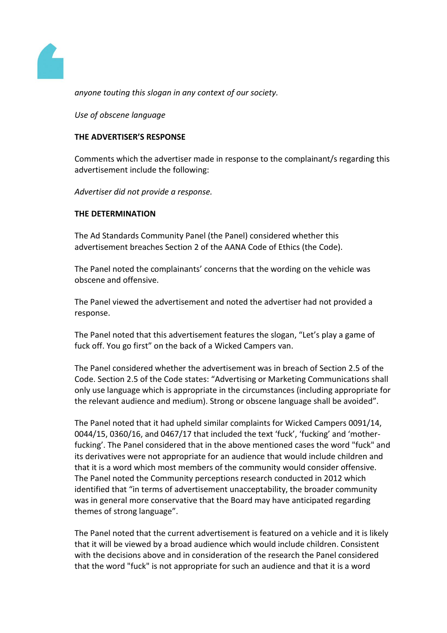

*anyone touting this slogan in any context of our society.*

*Use of obscene language*

## **THE ADVERTISER'S RESPONSE**

Comments which the advertiser made in response to the complainant/s regarding this advertisement include the following:

*Advertiser did not provide a response.*

## **THE DETERMINATION**

The Ad Standards Community Panel (the Panel) considered whether this advertisement breaches Section 2 of the AANA Code of Ethics (the Code).

The Panel noted the complainants' concerns that the wording on the vehicle was obscene and offensive.

The Panel viewed the advertisement and noted the advertiser had not provided a response.

The Panel noted that this advertisement features the slogan, "Let's play a game of fuck off. You go first" on the back of a Wicked Campers van.

The Panel considered whether the advertisement was in breach of Section 2.5 of the Code. Section 2.5 of the Code states: "Advertising or Marketing Communications shall only use language which is appropriate in the circumstances (including appropriate for the relevant audience and medium). Strong or obscene language shall be avoided".

The Panel noted that it had upheld similar complaints for Wicked Campers 0091/14, 0044/15, 0360/16, and 0467/17 that included the text 'fuck', 'fucking' and 'motherfucking'. The Panel considered that in the above mentioned cases the word "fuck" and its derivatives were not appropriate for an audience that would include children and that it is a word which most members of the community would consider offensive. The Panel noted the Community perceptions research conducted in 2012 which identified that "in terms of advertisement unacceptability, the broader community was in general more conservative that the Board may have anticipated regarding themes of strong language".

The Panel noted that the current advertisement is featured on a vehicle and it is likely that it will be viewed by a broad audience which would include children. Consistent with the decisions above and in consideration of the research the Panel considered that the word "fuck" is not appropriate for such an audience and that it is a word